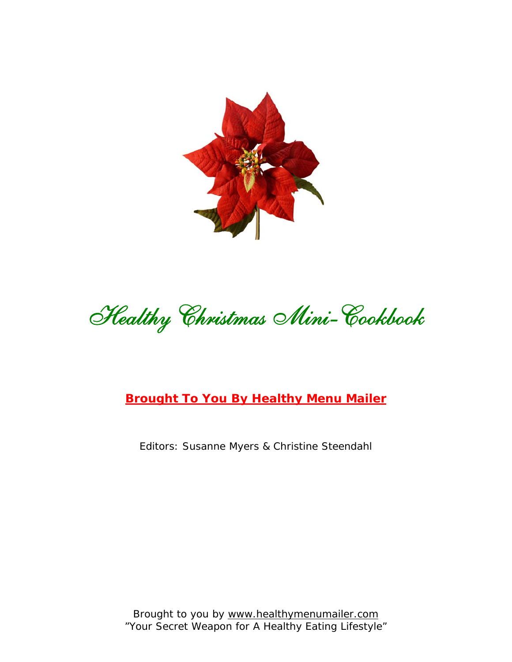

Healthy Christmas Mini-Cookbook

# **[Brought To You By Healthy Menu Mailer](http://www.healthymenumailer.com/amember/go.php?r=558&l=uggc%3A%2F%2Fjjj.urnygulzrahznvyre.pbz)**

Editors: Susanne Myers & Christine Steendahl

Brought to you b[y www.healthymenumailer.com](http://www.healthymenumailer.com/amember/go.php?r=558&l=uggc%3A%2F%2Fjjj.urnygulzrahznvyre.pbz) "Your Secret Weapon for A Healthy Eating Lifestyle"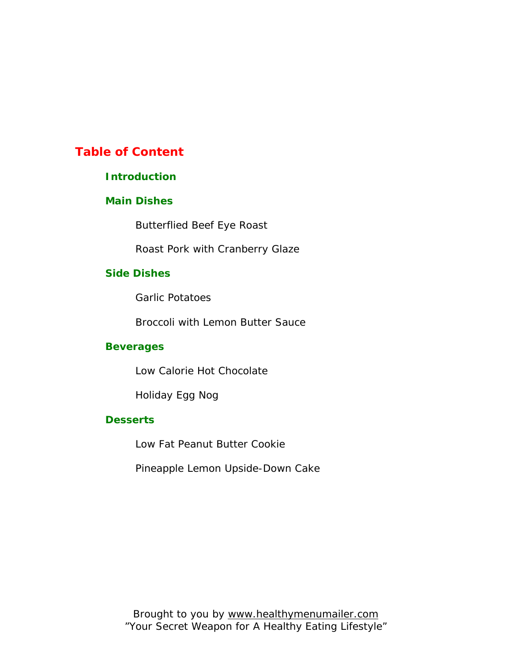## **Table of Content**

#### **Introduction**

#### **Main Dishes**

Butterflied Beef Eye Roast

Roast Pork with Cranberry Glaze

### **Side Dishes**

Garlic Potatoes

Broccoli with Lemon Butter Sauce

#### **Beverages**

Low Calorie Hot Chocolate

Holiday Egg Nog

### **Desserts**

Low Fat Peanut Butter Cookie

Pineapple Lemon Upside-Down Cake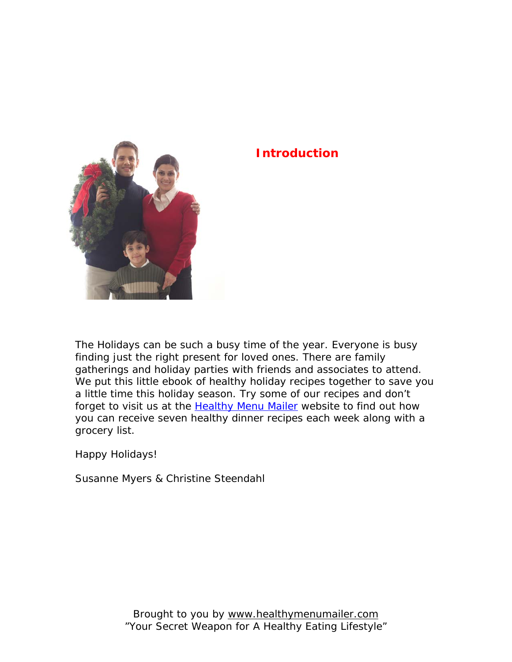# **Introduction**



The Holidays can be such a busy time of the year. Everyone is busy finding just the right present for loved ones. There are family gatherings and holiday parties with friends and associates to attend. We put this little ebook of healthy holiday recipes together to save you a little time this holiday season. Try some of our recipes and don't forget to visit us at the [Healthy Menu Mailer](http://www.healthymenumailer.com/amember/go.php?r=558&l=uggc%3A%2F%2Fjjj.urnygulzrahznvyre.pbz) website to find out how you can receive seven healthy dinner recipes each week along with a grocery list.

Happy Holidays!

Susanne Myers & Christine Steendahl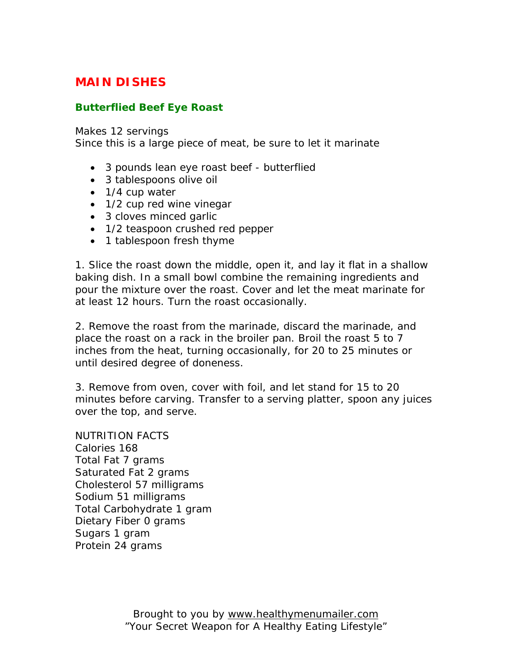## **MAIN DISHES**

### **Butterflied Beef Eye Roast**

Makes 12 servings

Since this is a large piece of meat, be sure to let it marinate

- 3 pounds lean eye roast beef butterflied
- 3 tablespoons olive oil
- 1/4 cup water
- 1/2 cup red wine vinegar
- 3 cloves minced garlic
- 1/2 teaspoon crushed red pepper
- 1 tablespoon fresh thyme

1. Slice the roast down the middle, open it, and lay it flat in a shallow baking dish. In a small bowl combine the remaining ingredients and pour the mixture over the roast. Cover and let the meat marinate for at least 12 hours. Turn the roast occasionally.

2. Remove the roast from the marinade, discard the marinade, and place the roast on a rack in the broiler pan. Broil the roast 5 to 7 inches from the heat, turning occasionally, for 20 to 25 minutes or until desired degree of doneness.

3. Remove from oven, cover with foil, and let stand for 15 to 20 minutes before carving. Transfer to a serving platter, spoon any juices over the top, and serve.

NUTRITION FACTS Calories 168 Total Fat 7 grams Saturated Fat 2 grams Cholesterol 57 milligrams Sodium 51 milligrams Total Carbohydrate 1 gram Dietary Fiber 0 grams Sugars 1 gram Protein 24 grams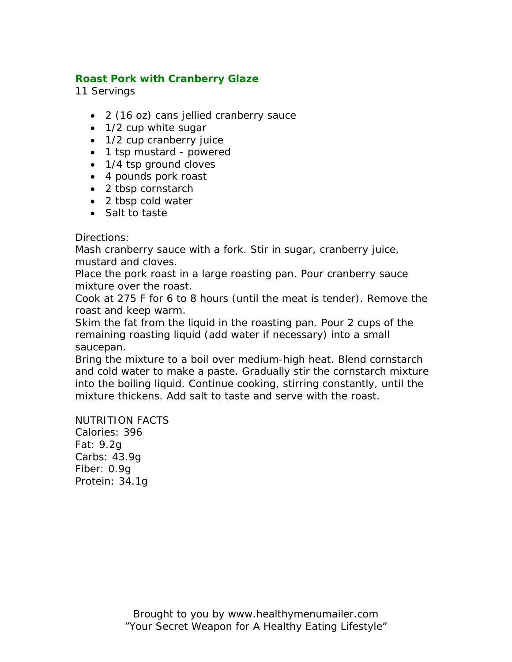### **Roast Pork with Cranberry Glaze**

11 Servings

- 2 (16 oz) cans jellied cranberry sauce
- 1/2 cup white sugar
- 1/2 cup cranberry juice
- 1 tsp mustard powered
- 1/4 tsp ground cloves
- 4 pounds pork roast
- 2 tbsp cornstarch
- 2 tbsp cold water
- Salt to taste

Directions:

Mash cranberry sauce with a fork. Stir in sugar, cranberry juice, mustard and cloves.

Place the pork roast in a large roasting pan. Pour cranberry sauce mixture over the roast.

Cook at 275 F for 6 to 8 hours (until the meat is tender). Remove the roast and keep warm.

Skim the fat from the liquid in the roasting pan. Pour 2 cups of the remaining roasting liquid (add water if necessary) into a small saucepan.

Bring the mixture to a boil over medium-high heat. Blend cornstarch and cold water to make a paste. Gradually stir the cornstarch mixture into the boiling liquid. Continue cooking, stirring constantly, until the mixture thickens. Add salt to taste and serve with the roast.

NUTRITION FACTS Calories: 396 Fat: 9.2g Carbs: 43.9g Fiber: 0.9g Protein: 34.1g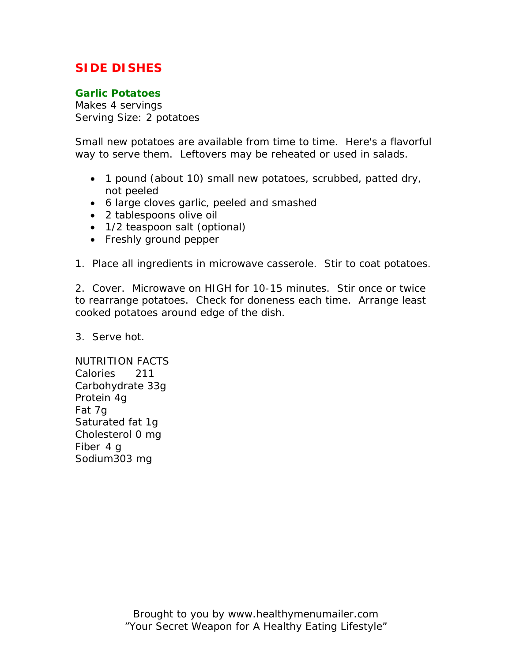## **SIDE DISHES**

### **Garlic Potatoes**

Makes 4 servings Serving Size: 2 potatoes

Small new potatoes are available from time to time. Here's a flavorful way to serve them. Leftovers may be reheated or used in salads.

- 1 pound (about 10) small new potatoes, scrubbed, patted dry, not peeled
- 6 large cloves garlic, peeled and smashed
- 2 tablespoons olive oil
- 1/2 teaspoon salt (optional)
- Freshly ground pepper
- 1. Place all ingredients in microwave casserole. Stir to coat potatoes.

2. Cover. Microwave on HIGH for 10-15 minutes. Stir once or twice to rearrange potatoes. Check for doneness each time. Arrange least cooked potatoes around edge of the dish.

3. Serve hot.

NUTRITION FACTS Calories 211 Carbohydrate 33g Protein 4g Fat 7g Saturated fat 1g Cholesterol 0 mg Fiber 4 g Sodium303 mg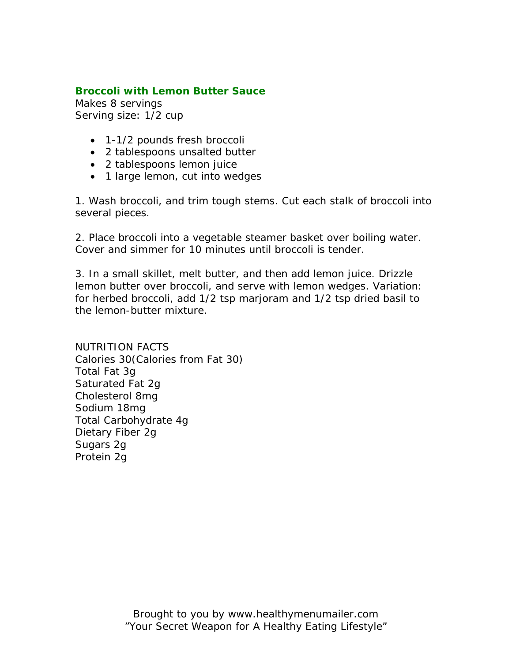### **Broccoli with Lemon Butter Sauce**

Makes 8 servings Serving size: 1/2 cup

- 1-1/2 pounds fresh broccoli
- 2 tablespoons unsalted butter
- 2 tablespoons lemon juice
- 1 large lemon, cut into wedges

1. Wash broccoli, and trim tough stems. Cut each stalk of broccoli into several pieces.

2. Place broccoli into a vegetable steamer basket over boiling water. Cover and simmer for 10 minutes until broccoli is tender.

3. In a small skillet, melt butter, and then add lemon juice. Drizzle lemon butter over broccoli, and serve with lemon wedges. Variation: for herbed broccoli, add 1/2 tsp marjoram and 1/2 tsp dried basil to the lemon-butter mixture.

NUTRITION FACTS Calories 30(Calories from Fat 30) Total Fat 3g Saturated Fat 2g Cholesterol 8mg Sodium 18mg Total Carbohydrate 4g Dietary Fiber 2g Sugars 2g Protein 2g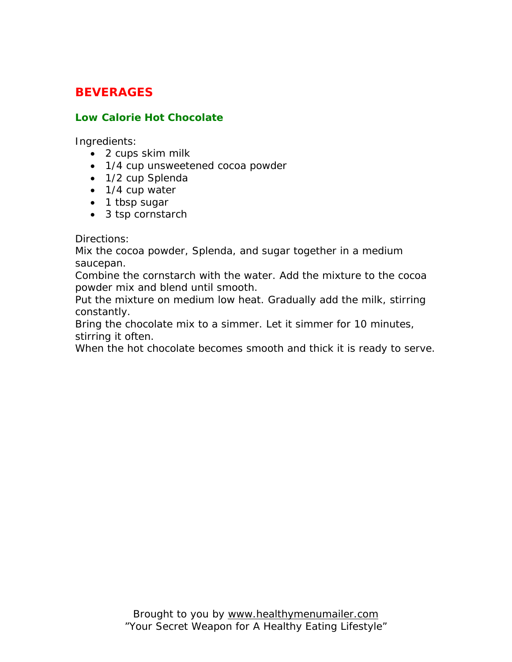## **BEVERAGES**

### **Low Calorie Hot Chocolate**

Ingredients:

- 2 cups skim milk
- 1/4 cup unsweetened cocoa powder
- 1/2 cup Splenda
- 1/4 cup water
- 1 tbsp sugar
- 3 tsp cornstarch

Directions:

Mix the cocoa powder, Splenda, and sugar together in a medium saucepan.

Combine the cornstarch with the water. Add the mixture to the cocoa powder mix and blend until smooth.

Put the mixture on medium low heat. Gradually add the milk, stirring constantly.

Bring the chocolate mix to a simmer. Let it simmer for 10 minutes, stirring it often.

When the hot chocolate becomes smooth and thick it is ready to serve.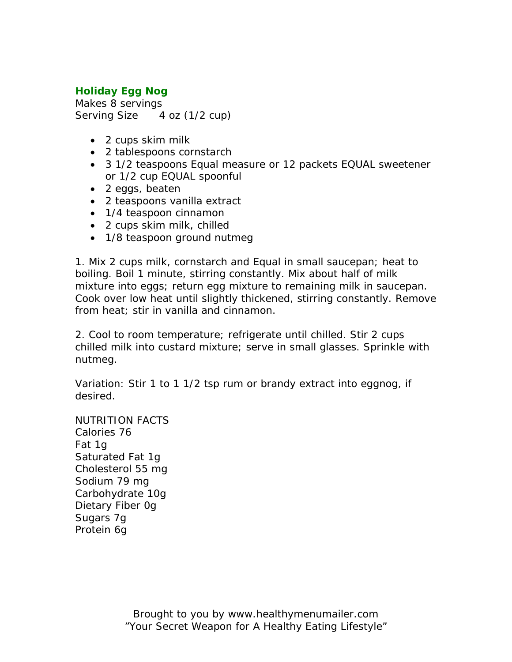## **Holiday Egg Nog**

Makes 8 servings Serving Size 4 oz (1/2 cup)

- 2 cups skim milk
- 2 tablespoons cornstarch
- 3 1/2 teaspoons Equal measure or 12 packets EQUAL sweetener or 1/2 cup EQUAL spoonful
- 2 eggs, beaten
- 2 teaspoons vanilla extract
- 1/4 teaspoon cinnamon
- 2 cups skim milk, chilled
- 1/8 teaspoon ground nutmeg

1. Mix 2 cups milk, cornstarch and Equal in small saucepan; heat to boiling. Boil 1 minute, stirring constantly. Mix about half of milk mixture into eggs; return egg mixture to remaining milk in saucepan. Cook over low heat until slightly thickened, stirring constantly. Remove from heat; stir in vanilla and cinnamon.

2. Cool to room temperature; refrigerate until chilled. Stir 2 cups chilled milk into custard mixture; serve in small glasses. Sprinkle with nutmeg.

Variation: Stir 1 to 1 1/2 tsp rum or brandy extract into eggnog, if desired.

NUTRITION FACTS Calories 76 Fat 1g Saturated Fat 1g Cholesterol 55 mg Sodium 79 mg Carbohydrate 10g Dietary Fiber 0g Sugars 7g Protein 6g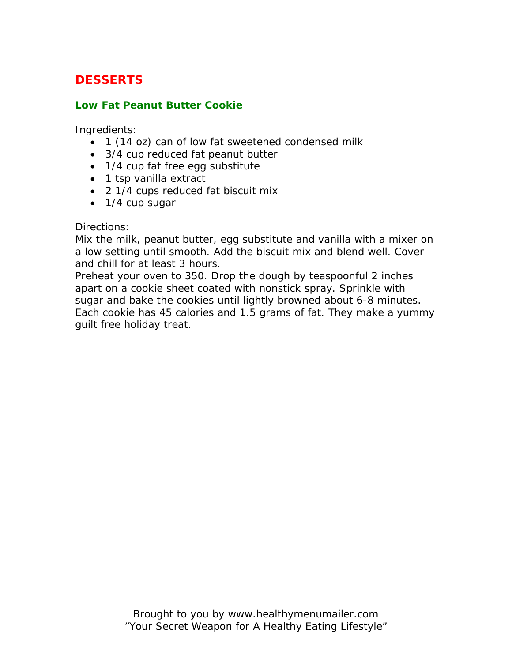# **DESSERTS**

### **Low Fat Peanut Butter Cookie**

Ingredients:

- 1 (14 oz) can of low fat sweetened condensed milk
- 3/4 cup reduced fat peanut butter
- 1/4 cup fat free egg substitute
- 1 tsp vanilla extract
- 2 1/4 cups reduced fat biscuit mix
- 1/4 cup sugar

#### Directions:

Mix the milk, peanut butter, egg substitute and vanilla with a mixer on a low setting until smooth. Add the biscuit mix and blend well. Cover and chill for at least 3 hours.

Preheat your oven to 350. Drop the dough by teaspoonful 2 inches apart on a cookie sheet coated with nonstick spray. Sprinkle with sugar and bake the cookies until lightly browned about 6-8 minutes. Each cookie has 45 calories and 1.5 grams of fat. They make a yummy guilt free holiday treat.